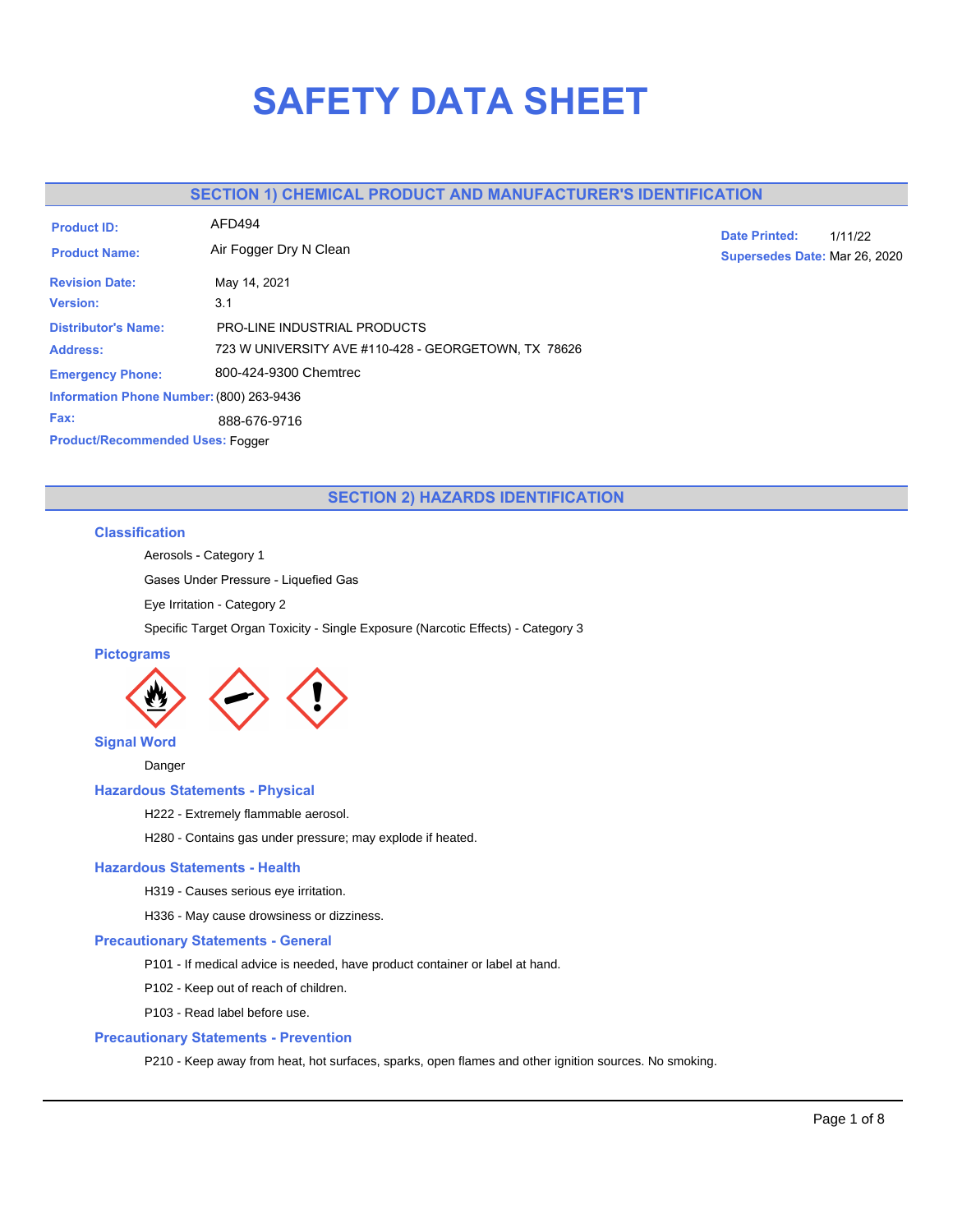# **SAFETY DATA SHEET**

# **SECTION 1) CHEMICAL PRODUCT AND MANUFACTURER'S IDENTIFICATION**

| <b>Product ID:</b>                       | AFD494                                               |  |  |  |  |
|------------------------------------------|------------------------------------------------------|--|--|--|--|
| <b>Product Name:</b>                     | Air Fogger Dry N Clean                               |  |  |  |  |
| <b>Revision Date:</b>                    | May 14, 2021                                         |  |  |  |  |
| <b>Version:</b>                          | 3.1                                                  |  |  |  |  |
| <b>Distributor's Name:</b>               | <b>PRO-LINE INDUSTRIAL PRODUCTS</b>                  |  |  |  |  |
| <b>Address:</b>                          | 723 W UNIVERSITY AVE #110-428 - GEORGETOWN, TX 78626 |  |  |  |  |
| <b>Emergency Phone:</b>                  | 800-424-9300 Chemtrec                                |  |  |  |  |
| Information Phone Number: (800) 263-9436 |                                                      |  |  |  |  |
| Fax:                                     | 888-676-9716                                         |  |  |  |  |
| <b>Product/Recommended Uses: Fogger</b>  |                                                      |  |  |  |  |

**Date Printed:** 1/11/22 **Supersedes Date:** Mar 26, 2020

# **SECTION 2) HAZARDS IDENTIFICATION**

# **Classification**

Aerosols - Category 1

Gases Under Pressure - Liquefied Gas

Eye Irritation - Category 2

Specific Target Organ Toxicity - Single Exposure (Narcotic Effects) - Category 3

### **Pictograms**



Danger

**Hazardous Statements - Physical**

H222 - Extremely flammable aerosol.

H280 - Contains gas under pressure; may explode if heated.

# **Hazardous Statements - Health**

H319 - Causes serious eye irritation.

H336 - May cause drowsiness or dizziness.

# **Precautionary Statements - General**

P101 - If medical advice is needed, have product container or label at hand.

P102 - Keep out of reach of children.

P103 - Read label before use.

# **Precautionary Statements - Prevention**

P210 - Keep away from heat, hot surfaces, sparks, open flames and other ignition sources. No smoking.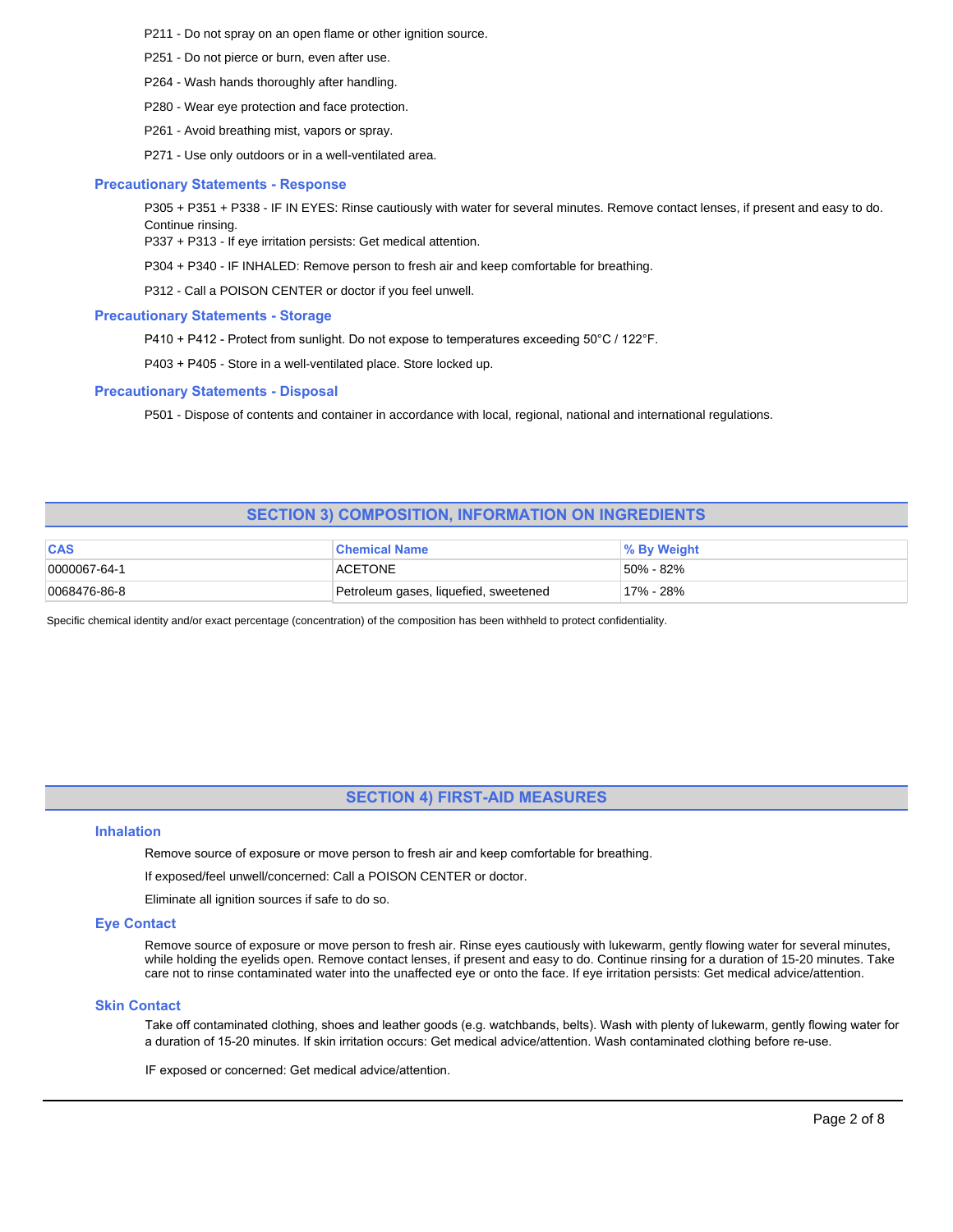- P211 Do not spray on an open flame or other ignition source.
- P251 Do not pierce or burn, even after use.
- P264 Wash hands thoroughly after handling.
- P280 Wear eye protection and face protection.
- P261 Avoid breathing mist, vapors or spray.
- P271 Use only outdoors or in a well-ventilated area.

### **Precautionary Statements - Response**

P305 + P351 + P338 - IF IN EYES: Rinse cautiously with water for several minutes. Remove contact lenses, if present and easy to do. Continue rinsing.

P337 + P313 - If eye irritation persists: Get medical attention.

P304 + P340 - IF INHALED: Remove person to fresh air and keep comfortable for breathing.

P312 - Call a POISON CENTER or doctor if you feel unwell.

### **Precautionary Statements - Storage**

P410 + P412 - Protect from sunlight. Do not expose to temperatures exceeding 50°C / 122°F.

P403 + P405 - Store in a well-ventilated place. Store locked up.

### **Precautionary Statements - Disposal**

P501 - Dispose of contents and container in accordance with local, regional, national and international regulations.

# **SECTION 3) COMPOSITION, INFORMATION ON INGREDIENTS**

| <b>CAS</b>   | <b>Chemical Name</b>                  | % By Weight |
|--------------|---------------------------------------|-------------|
| 0000067-64-1 | <b>ACETONE</b>                        | 50% - 82%   |
| 0068476-86-8 | Petroleum gases, liquefied, sweetened | ็ 17% - 28% |

Specific chemical identity and/or exact percentage (concentration) of the composition has been withheld to protect confidentiality.

# **SECTION 4) FIRST-AID MEASURES**

### **Inhalation**

Remove source of exposure or move person to fresh air and keep comfortable for breathing.

If exposed/feel unwell/concerned: Call a POISON CENTER or doctor.

Eliminate all ignition sources if safe to do so.

### **Eye Contact**

Remove source of exposure or move person to fresh air. Rinse eyes cautiously with lukewarm, gently flowing water for several minutes, while holding the eyelids open. Remove contact lenses, if present and easy to do. Continue rinsing for a duration of 15-20 minutes. Take care not to rinse contaminated water into the unaffected eye or onto the face. If eye irritation persists: Get medical advice/attention.

### **Skin Contact**

Take off contaminated clothing, shoes and leather goods (e.g. watchbands, belts). Wash with plenty of lukewarm, gently flowing water for a duration of 15-20 minutes. If skin irritation occurs: Get medical advice/attention. Wash contaminated clothing before re-use.

IF exposed or concerned: Get medical advice/attention.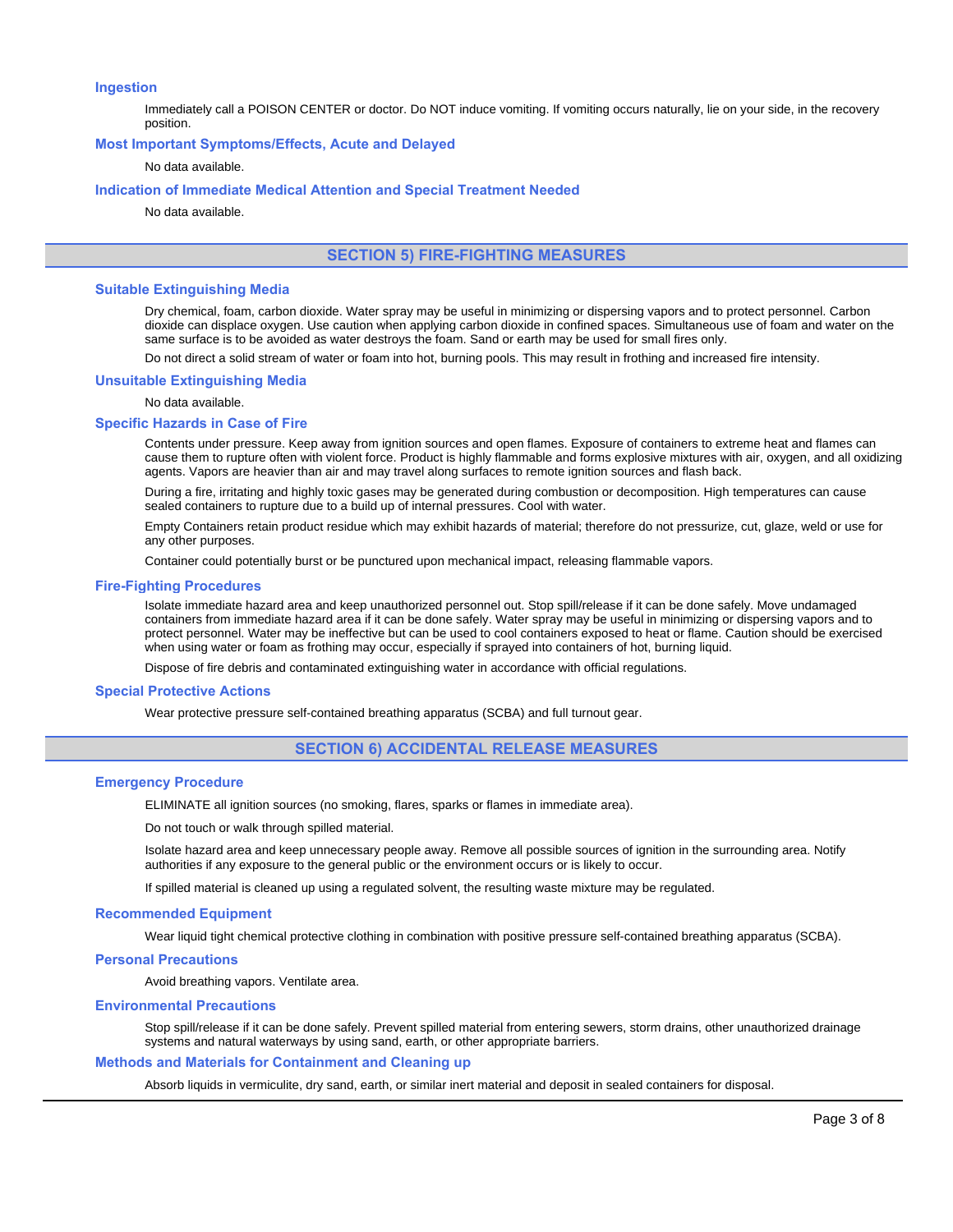### **Ingestion**

Immediately call a POISON CENTER or doctor. Do NOT induce vomiting. If vomiting occurs naturally, lie on your side, in the recovery position.

# **Most Important Symptoms/Effects, Acute and Delayed**

### No data available.

### **Indication of Immediate Medical Attention and Special Treatment Needed**

No data available.

# **SECTION 5) FIRE-FIGHTING MEASURES**

### **Suitable Extinguishing Media**

Dry chemical, foam, carbon dioxide. Water spray may be useful in minimizing or dispersing vapors and to protect personnel. Carbon dioxide can displace oxygen. Use caution when applying carbon dioxide in confined spaces. Simultaneous use of foam and water on the same surface is to be avoided as water destroys the foam. Sand or earth may be used for small fires only.

Do not direct a solid stream of water or foam into hot, burning pools. This may result in frothing and increased fire intensity.

#### **Unsuitable Extinguishing Media**

#### No data available.

#### **Specific Hazards in Case of Fire**

Contents under pressure. Keep away from ignition sources and open flames. Exposure of containers to extreme heat and flames can cause them to rupture often with violent force. Product is highly flammable and forms explosive mixtures with air, oxygen, and all oxidizing agents. Vapors are heavier than air and may travel along surfaces to remote ignition sources and flash back.

During a fire, irritating and highly toxic gases may be generated during combustion or decomposition. High temperatures can cause sealed containers to rupture due to a build up of internal pressures. Cool with water.

Empty Containers retain product residue which may exhibit hazards of material; therefore do not pressurize, cut, glaze, weld or use for any other purposes.

Container could potentially burst or be punctured upon mechanical impact, releasing flammable vapors.

### **Fire-Fighting Procedures**

Isolate immediate hazard area and keep unauthorized personnel out. Stop spill/release if it can be done safely. Move undamaged containers from immediate hazard area if it can be done safely. Water spray may be useful in minimizing or dispersing vapors and to protect personnel. Water may be ineffective but can be used to cool containers exposed to heat or flame. Caution should be exercised when using water or foam as frothing may occur, especially if sprayed into containers of hot, burning liquid.

Dispose of fire debris and contaminated extinguishing water in accordance with official regulations.

### **Special Protective Actions**

Wear protective pressure self-contained breathing apparatus (SCBA) and full turnout gear.

# **SECTION 6) ACCIDENTAL RELEASE MEASURES**

#### **Emergency Procedure**

ELIMINATE all ignition sources (no smoking, flares, sparks or flames in immediate area).

Do not touch or walk through spilled material.

Isolate hazard area and keep unnecessary people away. Remove all possible sources of ignition in the surrounding area. Notify authorities if any exposure to the general public or the environment occurs or is likely to occur.

If spilled material is cleaned up using a regulated solvent, the resulting waste mixture may be regulated.

### **Recommended Equipment**

Wear liquid tight chemical protective clothing in combination with positive pressure self-contained breathing apparatus (SCBA).

#### **Personal Precautions**

Avoid breathing vapors. Ventilate area.

### **Environmental Precautions**

Stop spill/release if it can be done safely. Prevent spilled material from entering sewers, storm drains, other unauthorized drainage systems and natural waterways by using sand, earth, or other appropriate barriers.

### **Methods and Materials for Containment and Cleaning up**

Absorb liquids in vermiculite, dry sand, earth, or similar inert material and deposit in sealed containers for disposal.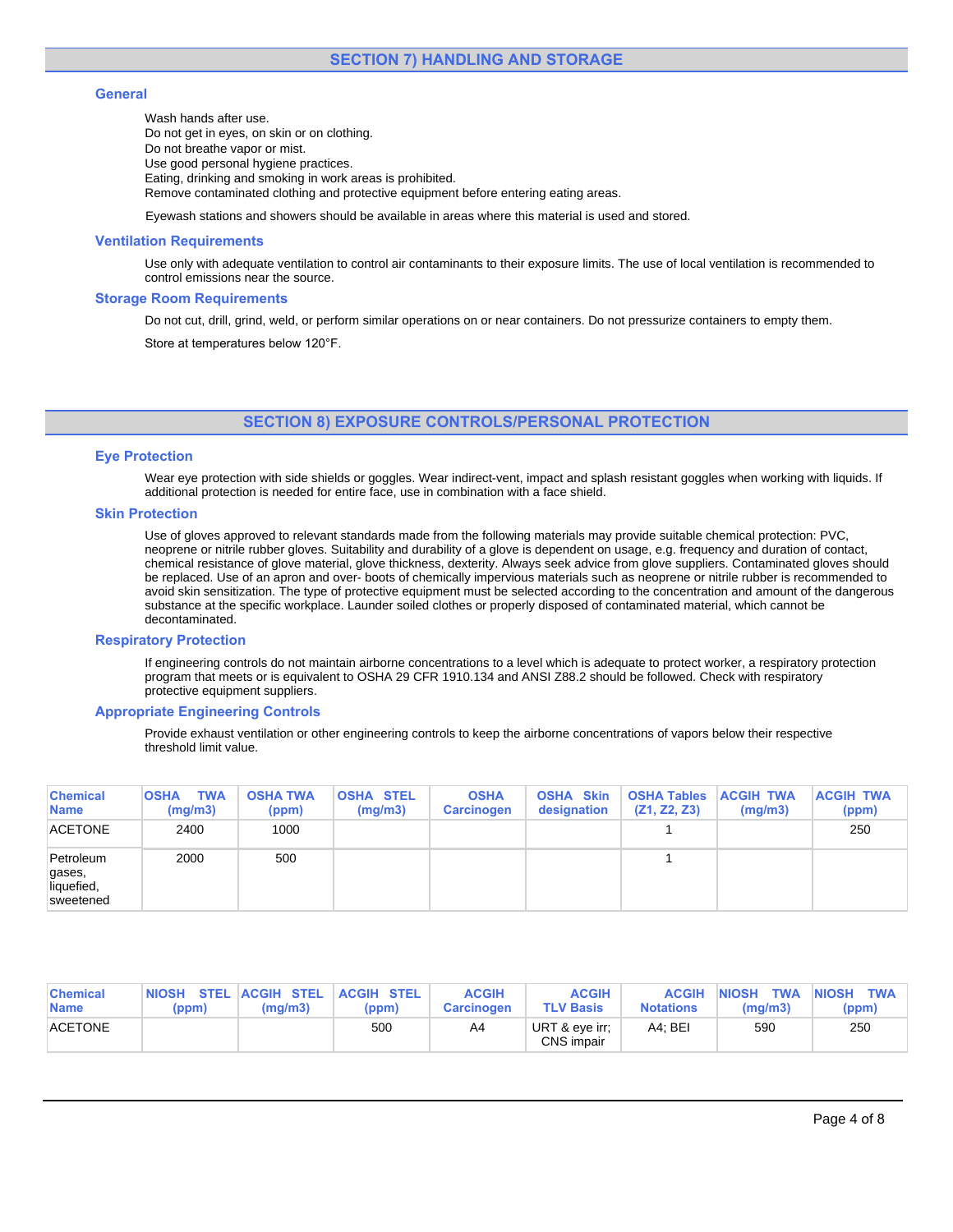### **General**

Wash hands after use. Do not get in eyes, on skin or on clothing. Do not breathe vapor or mist. Use good personal hygiene practices. Eating, drinking and smoking in work areas is prohibited. Remove contaminated clothing and protective equipment before entering eating areas.

Eyewash stations and showers should be available in areas where this material is used and stored.

### **Ventilation Requirements**

Use only with adequate ventilation to control air contaminants to their exposure limits. The use of local ventilation is recommended to control emissions near the source.

### **Storage Room Requirements**

Do not cut, drill, grind, weld, or perform similar operations on or near containers. Do not pressurize containers to empty them.

Store at temperatures below 120°F.

# **SECTION 8) EXPOSURE CONTROLS/PERSONAL PROTECTION**

### **Eye Protection**

Wear eye protection with side shields or goggles. Wear indirect-vent, impact and splash resistant goggles when working with liquids. If additional protection is needed for entire face, use in combination with a face shield.

### **Skin Protection**

Use of gloves approved to relevant standards made from the following materials may provide suitable chemical protection: PVC, neoprene or nitrile rubber gloves. Suitability and durability of a glove is dependent on usage, e.g. frequency and duration of contact, chemical resistance of glove material, glove thickness, dexterity. Always seek advice from glove suppliers. Contaminated gloves should be replaced. Use of an apron and over- boots of chemically impervious materials such as neoprene or nitrile rubber is recommended to avoid skin sensitization. The type of protective equipment must be selected according to the concentration and amount of the dangerous substance at the specific workplace. Launder soiled clothes or properly disposed of contaminated material, which cannot be decontaminated.

### **Respiratory Protection**

If engineering controls do not maintain airborne concentrations to a level which is adequate to protect worker, a respiratory protection program that meets or is equivalent to OSHA 29 CFR 1910.134 and ANSI Z88.2 should be followed. Check with respiratory protective equipment suppliers.

# **Appropriate Engineering Controls**

Provide exhaust ventilation or other engineering controls to keep the airborne concentrations of vapors below their respective threshold limit value.

| <b>Chemical</b><br><b>Name</b>                 | <b>TWA</b><br><b>OSHA</b><br>(mg/m3) | <b>OSHA TWA</b><br>(ppm) | <b>OSHA STEL</b><br>(mg/m3) | <b>OSHA</b><br><b>Carcinogen</b> | <b>OSHA Skin</b><br>designation | <b>OSHA Tables</b><br>(Z1, Z2, Z3) | <b>ACGIH TWA</b><br>(mg/m3) | <b>ACGIH TWA</b><br>(ppm) |
|------------------------------------------------|--------------------------------------|--------------------------|-----------------------------|----------------------------------|---------------------------------|------------------------------------|-----------------------------|---------------------------|
| <b>ACETONE</b>                                 | 2400                                 | 1000                     |                             |                                  |                                 |                                    |                             | 250                       |
| Petroleum<br>gases,<br>liquefied,<br>sweetened | 2000                                 | 500                      |                             |                                  |                                 |                                    |                             |                           |

| <b>Chemical</b><br><b>Name</b> | <b>NIOSH</b><br>(ppm) | <b>STEL ACGIH STEL</b><br>(ma/m3) | <b>ACGIH STEL</b><br>(ppm) | <b>ACGIH</b><br>Carcinogen | <b>ACGIH</b><br><b>TLV Basis</b> | <b>ACGIH</b><br><b>Notations</b> | <b>TWA</b><br><b>NIOSH</b><br>(mg/m3) | <b>INIOSH</b><br><b>TWA</b><br>(ppm) |
|--------------------------------|-----------------------|-----------------------------------|----------------------------|----------------------------|----------------------------------|----------------------------------|---------------------------------------|--------------------------------------|
| <b>ACETONE</b>                 |                       |                                   | 500                        | A4                         | URT & eve irr:<br>CNS impair     | A4: BEI                          | 590                                   | 250                                  |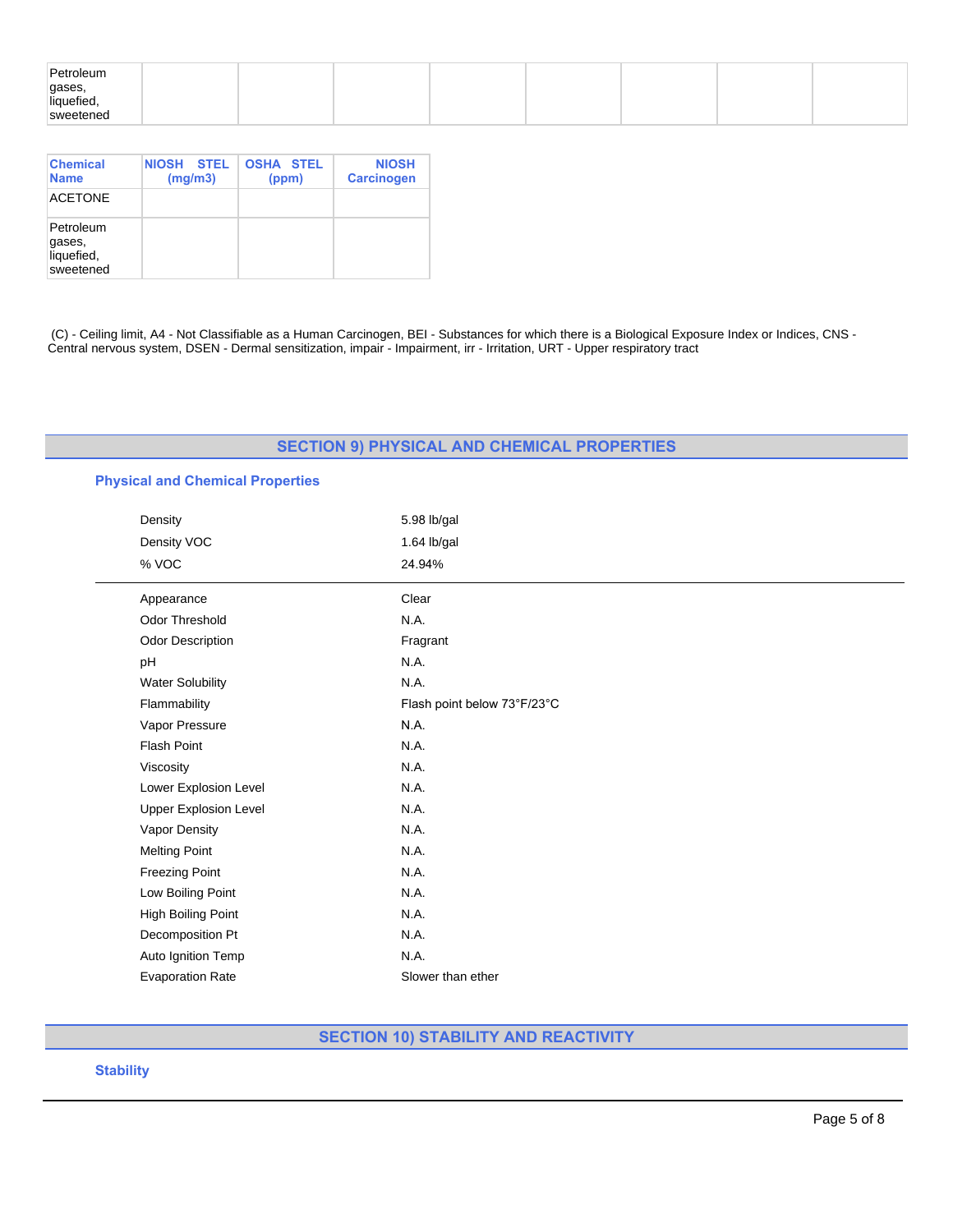| Petroleum                         |  |  |  |  |
|-----------------------------------|--|--|--|--|
| gases,<br>liquefied,<br>sweetened |  |  |  |  |
|                                   |  |  |  |  |

| <b>Chemical</b><br><b>Name</b>                 | <b>NIOSH</b><br><b>STEL</b><br>(mg/m3) | <b>OSHA STEL</b><br>(ppm) | <b>NIOSH</b><br><b>Carcinogen</b> |
|------------------------------------------------|----------------------------------------|---------------------------|-----------------------------------|
| <b>ACETONE</b>                                 |                                        |                           |                                   |
| Petroleum<br>gases,<br>liquefied,<br>sweetened |                                        |                           |                                   |

**Physical and Chemical Properties**

(C) - Ceiling limit, A4 - Not Classifiable as a Human Carcinogen, BEI - Substances for which there is a Biological Exposure Index or Indices, CNS - Central nervous system, DSEN - Dermal sensitization, impair - Impairment, irr - Irritation, URT - Upper respiratory tract

# **SECTION 9) PHYSICAL AND CHEMICAL PROPERTIES**

| Density                      | 5.98 lb/gal                 |
|------------------------------|-----------------------------|
| Density VOC                  | 1.64 lb/gal                 |
| % VOC                        | 24.94%                      |
| Appearance                   | Clear                       |
| Odor Threshold               | N.A.                        |
| <b>Odor Description</b>      | Fragrant                    |
| pH                           | N.A.                        |
| <b>Water Solubility</b>      | N.A.                        |
| Flammability                 | Flash point below 73°F/23°C |
| Vapor Pressure               | N.A.                        |
| <b>Flash Point</b>           | N.A.                        |
| Viscosity                    | N.A.                        |
| Lower Explosion Level        | N.A.                        |
| <b>Upper Explosion Level</b> | N.A.                        |
| Vapor Density                | N.A.                        |
| <b>Melting Point</b>         | N.A.                        |
| Freezing Point               | N.A.                        |
| Low Boiling Point            | N.A.                        |
| High Boiling Point           | <b>N.A.</b>                 |
| Decomposition Pt             | N.A.                        |
| Auto Ignition Temp           | N.A.                        |
| <b>Evaporation Rate</b>      | Slower than ether           |

# **SECTION 10) STABILITY AND REACTIVITY**

# **Stability**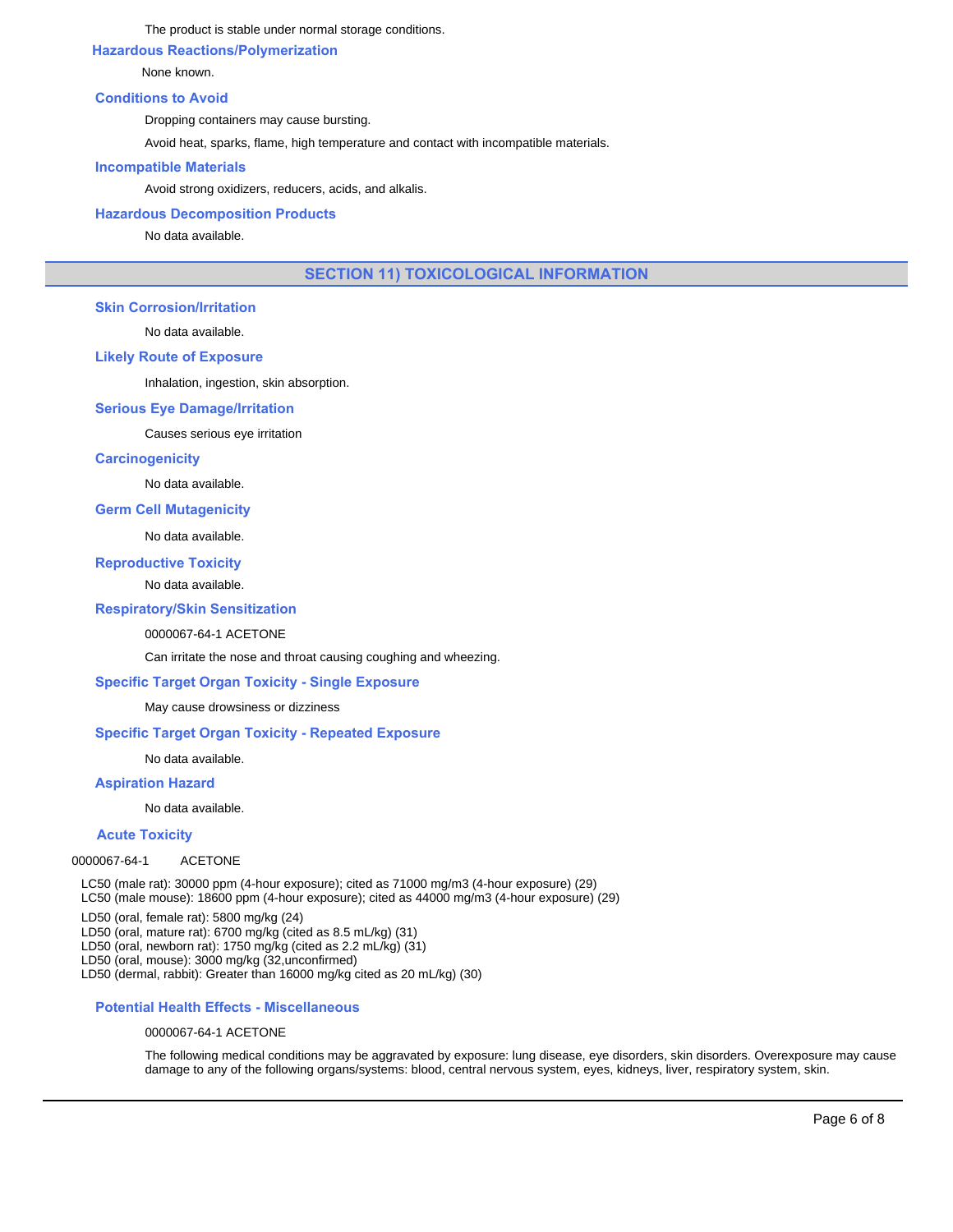The product is stable under normal storage conditions.

### **Hazardous Reactions/Polymerization**

### None known.

### **Conditions to Avoid**

Dropping containers may cause bursting.

Avoid heat, sparks, flame, high temperature and contact with incompatible materials.

### **Incompatible Materials**

Avoid strong oxidizers, reducers, acids, and alkalis.

### **Hazardous Decomposition Products**

No data available.

**SECTION 11) TOXICOLOGICAL INFORMATION**

### **Skin Corrosion/Irritation**

No data available.

### **Likely Route of Exposure**

Inhalation, ingestion, skin absorption.

### **Serious Eye Damage/Irritation**

Causes serious eye irritation

### **Carcinogenicity**

# No data available.

### **Germ Cell Mutagenicity**

No data available.

### **Reproductive Toxicity**

No data available.

### **Respiratory/Skin Sensitization**

### 0000067-64-1 ACETONE

Can irritate the nose and throat causing coughing and wheezing.

### **Specific Target Organ Toxicity - Single Exposure**

May cause drowsiness or dizziness

### **Specific Target Organ Toxicity - Repeated Exposure**

No data available.

#### **Aspiration Hazard**

No data available.

#### **Acute Toxicity**

### 0000067-64-1 ACETONE

LC50 (male rat): 30000 ppm (4-hour exposure); cited as 71000 mg/m3 (4-hour exposure) (29) LC50 (male mouse): 18600 ppm (4-hour exposure); cited as 44000 mg/m3 (4-hour exposure) (29)

LD50 (oral, female rat): 5800 mg/kg (24)

LD50 (oral, mature rat): 6700 mg/kg (cited as 8.5 mL/kg) (31)

LD50 (oral, newborn rat): 1750 mg/kg (cited as 2.2 mL/kg) (31)

LD50 (oral, mouse): 3000 mg/kg (32,unconfirmed)

LD50 (dermal, rabbit): Greater than 16000 mg/kg cited as 20 mL/kg) (30)

### **Potential Health Effects - Miscellaneous**

### 0000067-64-1 ACETONE

The following medical conditions may be aggravated by exposure: lung disease, eye disorders, skin disorders. Overexposure may cause damage to any of the following organs/systems: blood, central nervous system, eyes, kidneys, liver, respiratory system, skin.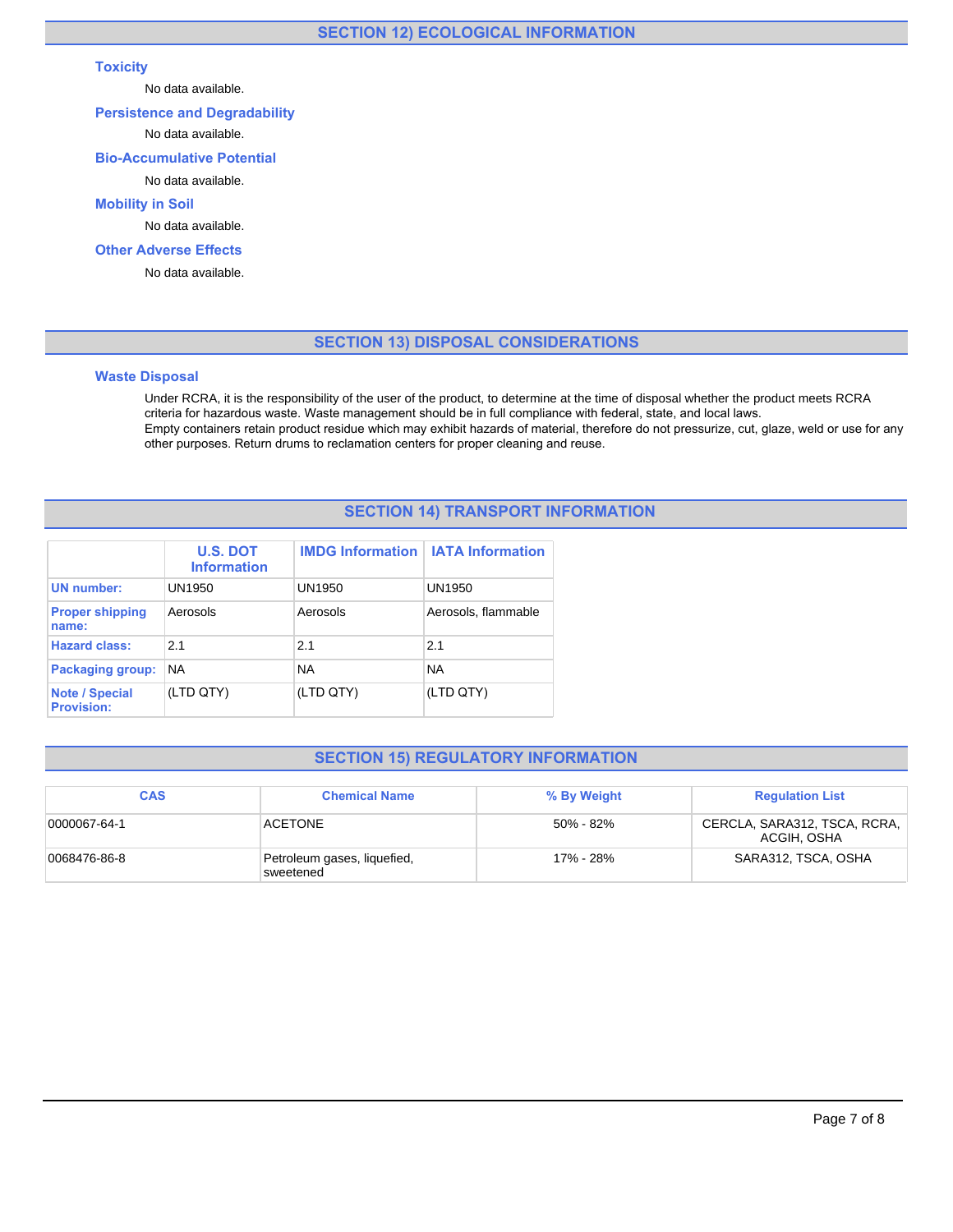# **SECTION 12) ECOLOGICAL INFORMATION**

### **Toxicity**

No data available.

**Persistence and Degradability**

No data available.

**Bio-Accumulative Potential**

No data available.

# **Mobility in Soil**

No data available.

# **Other Adverse Effects**

No data available.

# **SECTION 13) DISPOSAL CONSIDERATIONS**

# **Waste Disposal**

Under RCRA, it is the responsibility of the user of the product, to determine at the time of disposal whether the product meets RCRA criteria for hazardous waste. Waste management should be in full compliance with federal, state, and local laws. Empty containers retain product residue which may exhibit hazards of material, therefore do not pressurize, cut, glaze, weld or use for any other purposes. Return drums to reclamation centers for proper cleaning and reuse.

# **SECTION 14) TRANSPORT INFORMATION**

|                                            | <b>U.S. DOT</b><br><b>Information</b> |               | <b>IMDG Information   IATA Information</b> |
|--------------------------------------------|---------------------------------------|---------------|--------------------------------------------|
| <b>UN</b> number:                          | UN1950                                | <b>UN1950</b> | UN1950                                     |
| <b>Proper shipping</b><br>name:            | Aerosols                              | Aerosols      | Aerosols, flammable                        |
| Hazard class:                              | 2.1                                   | 2.1           | 2.1                                        |
| Packaging group:                           | <b>NA</b>                             | <b>NA</b>     | <b>NA</b>                                  |
| <b>Note / Special</b><br><b>Provision:</b> | (LTD QTY)                             | (LTD QTY)     | (LTD QTY)                                  |

# **SECTION 15) REGULATORY INFORMATION**

| CAS          | <b>Chemical Name</b>                     | % By Weight | <b>Regulation List</b>                      |
|--------------|------------------------------------------|-------------|---------------------------------------------|
| 0000067-64-1 | ACETONE                                  | 50% - 82%   | CERCLA, SARA312, TSCA, RCRA,<br>ACGIH. OSHA |
| 0068476-86-8 | Petroleum gases, liquefied,<br>sweetened | 17% - 28%   | SARA312, TSCA, OSHA                         |